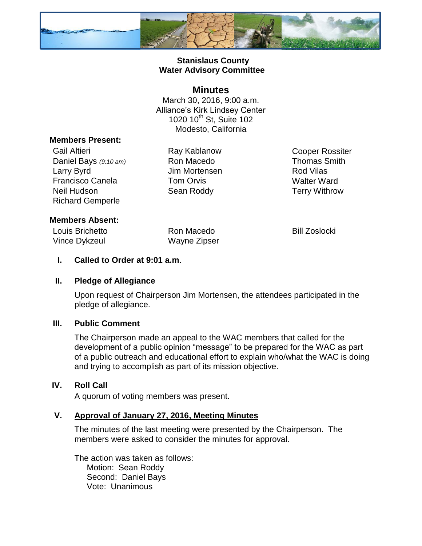

## **Stanislaus County Water Advisory Committee**

## **Minutes**

March 30, 2016, 9:00 a.m. Alliance's Kirk Lindsey Center 1020 10<sup>th</sup> St, Suite 102 Modesto, California

### **Members Present:**

Gail Altieri **Ray Kablanow** Cooper Rossiter Daniel Bays (9:10 am) Ron Macedo Thomas Smith Larry Byrd **Carry Byrd** Jim Mortensen **Rod Vilas** Francisco Canela **Tom Orvis** Tom Comes New Walter Ward Neil Hudson Sean Roddy Terry Withrow Richard Gemperle

## **Members Absent:**

Louis Brichetto Ron Macedo Bill Zoslocki Vince Dykzeul Wayne Zipser

## **I. Called to Order at 9:01 a.m**.

### **II. Pledge of Allegiance**

Upon request of Chairperson Jim Mortensen, the attendees participated in the pledge of allegiance.

### **III. Public Comment**

The Chairperson made an appeal to the WAC members that called for the development of a public opinion "message" to be prepared for the WAC as part of a public outreach and educational effort to explain who/what the WAC is doing and trying to accomplish as part of its mission objective.

### **IV. Roll Call**

A quorum of voting members was present.

### **V. Approval of January 27, 2016, Meeting Minutes**

The minutes of the last meeting were presented by the Chairperson. The members were asked to consider the minutes for approval.

The action was taken as follows: Motion: Sean Roddy Second: Daniel Bays Vote: Unanimous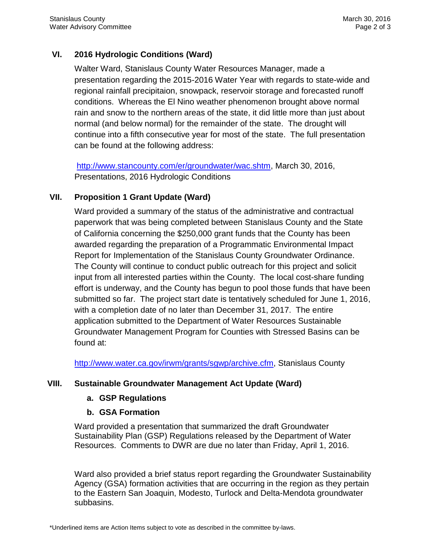# **VI. 2016 Hydrologic Conditions (Ward)**

Walter Ward, Stanislaus County Water Resources Manager, made a presentation regarding the 2015-2016 Water Year with regards to state-wide and regional rainfall precipitaion, snowpack, reservoir storage and forecasted runoff conditions. Whereas the El Nino weather phenomenon brought above normal rain and snow to the northern areas of the state, it did little more than just about normal (and below normal) for the remainder of the state. The drought will continue into a fifth consecutive year for most of the state. The full presentation can be found at the following address:

[http://www.stancounty.com/er/groundwater/wac.shtm,](http://www.stancounty.com/er/groundwater/wac.shtm) March 30, 2016, Presentations, 2016 Hydrologic Conditions

# **VII. Proposition 1 Grant Update (Ward)**

Ward provided a summary of the status of the administrative and contractual paperwork that was being completed between Stanislaus County and the State of California concerning the \$250,000 grant funds that the County has been awarded regarding the preparation of a Programmatic Environmental Impact Report for Implementation of the Stanislaus County Groundwater Ordinance. The County will continue to conduct public outreach for this project and solicit input from all interested parties within the County. The local cost-share funding effort is underway, and the County has begun to pool those funds that have been submitted so far. The project start date is tentatively scheduled for June 1, 2016, with a completion date of no later than December 31, 2017. The entire application submitted to the Department of Water Resources Sustainable Groundwater Management Program for Counties with Stressed Basins can be found at:

[http://www.water.ca.gov/irwm/grants/sgwp/archive.cfm,](http://www.water.ca.gov/irwm/grants/sgwp/archive.cfm) Stanislaus County

# **VIII. Sustainable Groundwater Management Act Update (Ward)**

# **a. GSP Regulations**

# **b. GSA Formation**

Ward provided a presentation that summarized the draft Groundwater Sustainability Plan (GSP) Regulations released by the Department of Water Resources. Comments to DWR are due no later than Friday, April 1, 2016.

Ward also provided a brief status report regarding the Groundwater Sustainability Agency (GSA) formation activities that are occurring in the region as they pertain to the Eastern San Joaquin, Modesto, Turlock and Delta-Mendota groundwater subbasins.